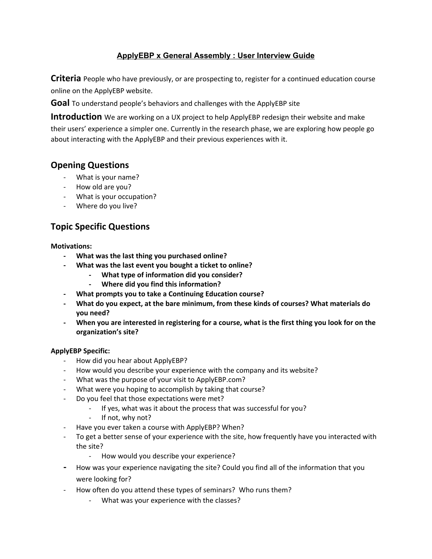### **ApplyEBP x General Assembly : User Interview Guide**

**Criteria** People who have previously, or are prospecting to, register for a continued education course online on the ApplyEBP website.

**Goal** To understand people's behaviors and challenges with the ApplyEBP site

**Introduction** We are working on a UX project to help ApplyEBP redesign their website and make their users' experience a simpler one. Currently in the research phase, we are exploring how people go about interacting with the ApplyEBP and their previous experiences with it.

# **Opening Questions**

- What is your name?
- How old are you?
- What is your occupation?
- Where do you live?

# **Topic Specific Questions**

#### **Motivations:**

- **- What was the last thing you purchased online?**
- **- What was the last event you bought a ticket to online?**
	- **- What type of information did you consider?**
	- **- Where did you find this information?**
- **- What prompts you to take a Continuing Education course?**
- **- What do you expect, at the bare minimum, from these kinds of courses? What materials do you need?**
- When you are interested in registering for a course, what is the first thing you look for on the **organization's site?**

#### **ApplyEBP Specific:**

- How did you hear about ApplyEBP?
- How would you describe your experience with the company and its website?
- What was the purpose of your visit to ApplyEBP.com?
- What were you hoping to accomplish by taking that course?
- Do you feel that those expectations were met?
	- If yes, what was it about the process that was successful for you?
	- If not, why not?
- Have you ever taken a course with ApplyEBP? When?
- To get a better sense of your experience with the site, how frequently have you interacted with the site?
	- How would you describe your experience?
- **-** How was your experience navigating the site? Could you find all of the information that you were looking for?
- How often do you attend these types of seminars? Who runs them?
	- What was your experience with the classes?